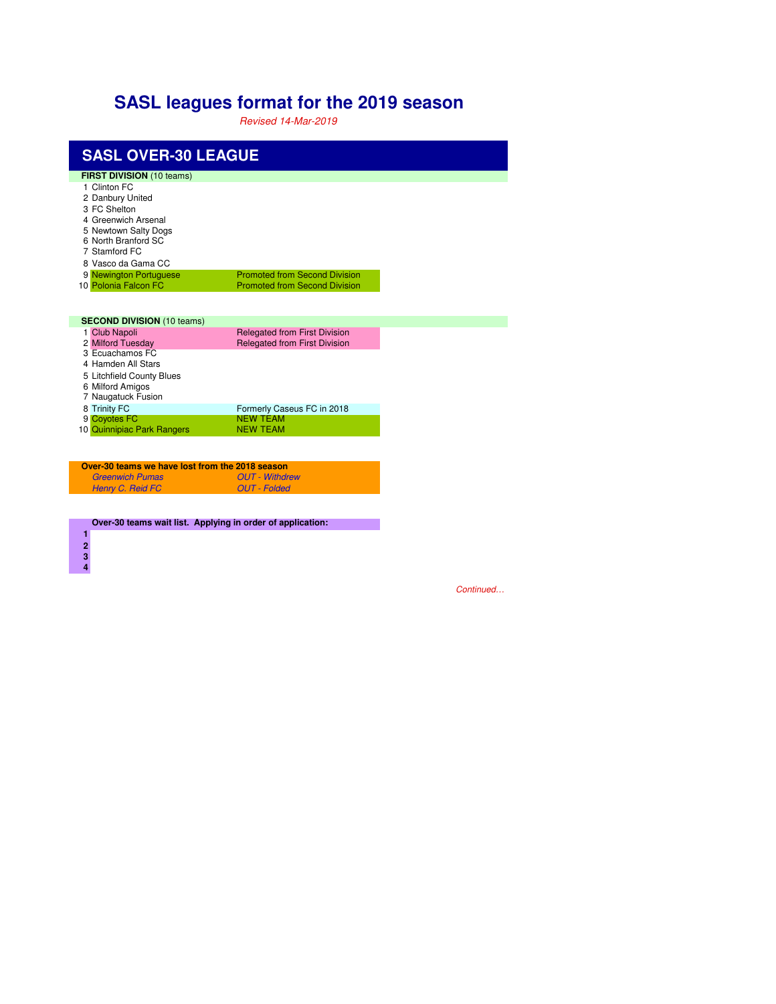## **SASL leagues format for the 2019 season**

Revised 14-Mar-2019

| <b>SASL OVER-30 LEAGUE</b>                                                                                                                                                  |                                                                              |  |  |  |  |  |
|-----------------------------------------------------------------------------------------------------------------------------------------------------------------------------|------------------------------------------------------------------------------|--|--|--|--|--|
| <b>FIRST DIVISION (10 teams)</b><br>1 Clinton FC<br>2 Danbury United<br>3 FC Shelton<br>4 Greenwich Arsenal<br>5 Newtown Salty Dogs<br>6 North Branford SC<br>7 Stamford FC |                                                                              |  |  |  |  |  |
| 8 Vasco da Gama CC<br>9 Newington Portuguese<br>10 Polonia Falcon FC                                                                                                        | <b>Promoted from Second Division</b><br><b>Promoted from Second Division</b> |  |  |  |  |  |
| <b>SECOND DIVISION (10 teams)</b>                                                                                                                                           |                                                                              |  |  |  |  |  |
| 1 Club Napoli<br>2 Milford Tuesday<br>3 Ecuachamos FC<br>4 Hamden All Stars<br>5 Litchfield County Blues<br>6 Milford Amigos<br>7 Naugatuck Fusion                          | <b>Relegated from First Division</b><br><b>Relegated from First Division</b> |  |  |  |  |  |
| 8 Trinity FC<br>9 Coyotes FC<br>10 Quinnipiac Park Rangers                                                                                                                  | Formerly Caseus FC in 2018<br><b>NFW TFAM</b><br><b>NEW TEAM</b>             |  |  |  |  |  |

| Over-30 teams we have lost from the 2018 season |                       |  |  |
|-------------------------------------------------|-----------------------|--|--|
| <b>Greenwich Pumas</b>                          | <b>OUT</b> - Withdrew |  |  |
| Henry C. Reid FC                                | OUT - Folded          |  |  |

**Over-30 teams wait list. Applying in order of application:**

Continued…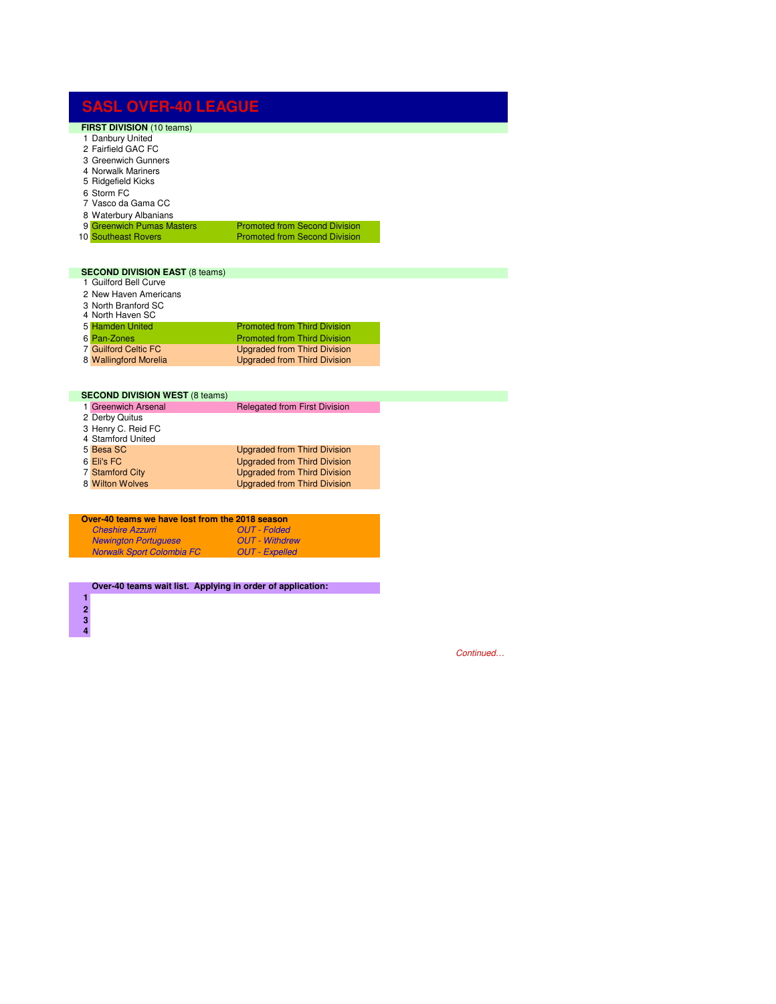| <b>SASL OVER-40 LEAGUE</b>            |                                      |
|---------------------------------------|--------------------------------------|
| <b>FIRST DIVISION (10 teams)</b>      |                                      |
| 1 Danbury United                      |                                      |
| 2 Fairfield GAC FC                    |                                      |
| 3 Greenwich Gunners                   |                                      |
| 4 Norwalk Mariners                    |                                      |
| 5 Ridgefield Kicks                    |                                      |
| 6 Storm FC<br>7 Vasco da Gama CC      |                                      |
| 8 Waterbury Albanians                 |                                      |
| 9 Greenwich Pumas Masters             | <b>Promoted from Second Division</b> |
| 10 Southeast Rovers                   | <b>Promoted from Second Division</b> |
|                                       |                                      |
| <b>SECOND DIVISION EAST (8 teams)</b> |                                      |
| 1 Guilford Bell Curve                 |                                      |
| 2 New Haven Americans                 |                                      |
| 3 North Branford SC                   |                                      |
| 4 North Haven SC                      |                                      |
| 5 Hamden United                       | <b>Promoted from Third Division</b>  |
| 6 Pan-Zones                           | <b>Promoted from Third Division</b>  |
| <b>7 Guilford Celtic FC</b>           | <b>Upgraded from Third Division</b>  |
| 8 Wallingford Morelia                 | <b>Upgraded from Third Division</b>  |
|                                       |                                      |
| <b>SECOND DIVISION WEST (8 teams)</b> |                                      |

| <b>SECOND DIVISION WEST (6 (GAILIS)</b> |                                      |
|-----------------------------------------|--------------------------------------|
| 1 Greenwich Arsenal                     | <b>Relegated from First Division</b> |
| 2 Derby Quitus                          |                                      |
| 3 Henry C. Reid FC<br>4 Stamford United |                                      |
| 5 Besa SC                               | <b>Upgraded from Third Division</b>  |
| 6 Eli's FC                              | <b>Upgraded from Third Division</b>  |
| <b>7 Stamford City</b>                  | <b>Upgraded from Third Division</b>  |
| 8 Wilton Wolves                         | <b>Upgraded from Third Division</b>  |
|                                         |                                      |
|                                         |                                      |
|                                         |                                      |

| Over-40 teams we have lost from the 2018 season |                       |  |  |
|-------------------------------------------------|-----------------------|--|--|
| <b>Cheshire Azzurri</b>                         | <b>OUT</b> - Folded   |  |  |
| <b>Newington Portuguese</b>                     | <b>OUT</b> - Withdrew |  |  |
| <b>Norwalk Sport Colombia FC</b>                | <b>OUT</b> - Expelled |  |  |
|                                                 |                       |  |  |

**Over-40 teams wait list. Applying in order of application:**

 

Continued…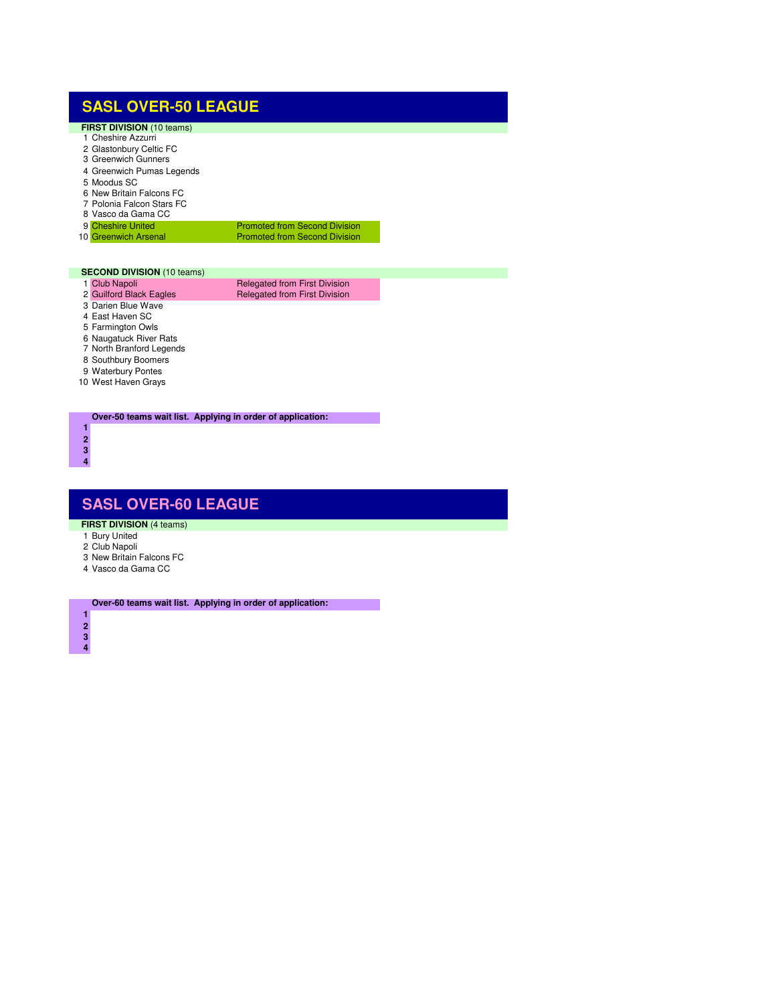## **SASL OVER-50 LEAGUE**

| <b>FIRST DIVISION</b> (10 teams) |  |
|----------------------------------|--|
| 1 Cheshire Azzurri               |  |
| 2 Glastonbury Celtic FC          |  |

- Greenwich Gunners
- Greenwich Pumas Legends
- Moodus SC
- New Britain Falcons FC
- Polonia Falcon Stars FC
- Vasco da Gama CC
- 9 Cheshire United Promoted from Second Division<br>10 Greenwich Arsenal Promoted from Second Division Promoted from Second Division

## **SECOND DIVISION** (10 teams)

1 Club Napoli **Relegated from First Division 2 Guilford Black Eagles** Relegated from First Division Relegated from First Division

- 
- Darien Blue Wave
- East Haven SC
- Farmington Owls Naugatuck River Rats
- North Branford Legends
- Southbury Boomers
- Waterbury Pontes
- West Haven Grays

**Over-50 teams wait list. Applying in order of application:**

## **SASL OVER-60 LEAGUE**

- **FIRST DIVISION (4 teams)**
- Bury United
- Club Napoli
- New Britain Falcons FC
- Vasco da Gama CC

**Over-60 teams wait list. Applying in order of application:**